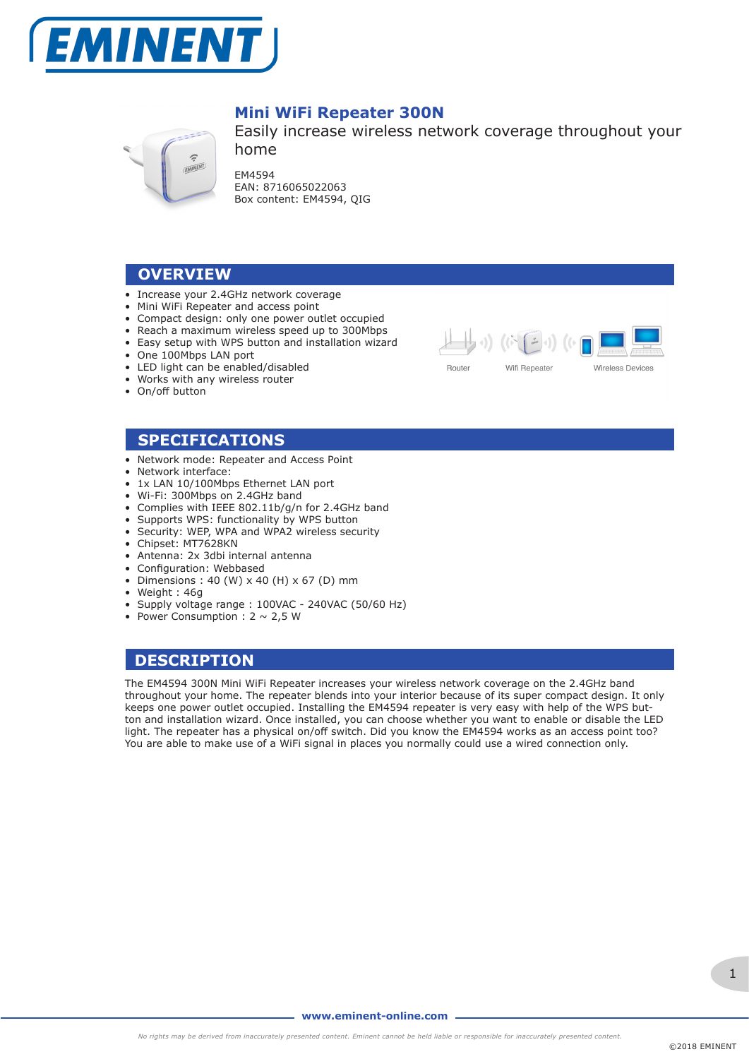



## **Mini WiFi Repeater 300N**

Easily increase wireless network coverage throughout your home

EM4594 EAN: 8716065022063 Box content: EM4594, QIG

## **OVERVIEW**

- Increase your 2.4GHz network coverage
- Mini WiFi Repeater and access point
- Compact design: only one power outlet occupied
- Reach a maximum wireless speed up to 300Mbps
- Easy setup with WPS button and installation wizard
- One 100Mbps LAN port
- LED light can be enabled/disabled
- Works with any wireless router
- On/off button



#### **SPECIFICATIONS**

- Network mode: Repeater and Access Point
- Network interface:
- 1x LAN 10/100Mbps Ethernet LAN port
- Wi-Fi: 300Mbps on 2.4GHz band
- Complies with IEEE 802.11b/g/n for 2.4GHz band
- Supports WPS: functionality by WPS button
- Security: WEP, WPA and WPA2 wireless security
- Chipset: MT7628KN
- Antenna: 2x 3dbi internal antenna
- Configuration: Webbased
- Dimensions:  $40 \,$  (W)  $\times$   $40 \,$  (H)  $\times$  67 (D) mm
- Weight : 46g
- Supply voltage range : 100VAC 240VAC (50/60 Hz)
- Power Consumption :  $2 \sim 2.5$  W

## **DESCRIPTION**

The EM4594 300N Mini WiFi Repeater increases your wireless network coverage on the 2.4GHz band throughout your home. The repeater blends into your interior because of its super compact design. It only keeps one power outlet occupied. Installing the EM4594 repeater is very easy with help of the WPS button and installation wizard. Once installed, you can choose whether you want to enable or disable the LED light. The repeater has a physical on/off switch. Did you know the EM4594 works as an access point too? You are able to make use of a WiFi signal in places you normally could use a wired connection only.